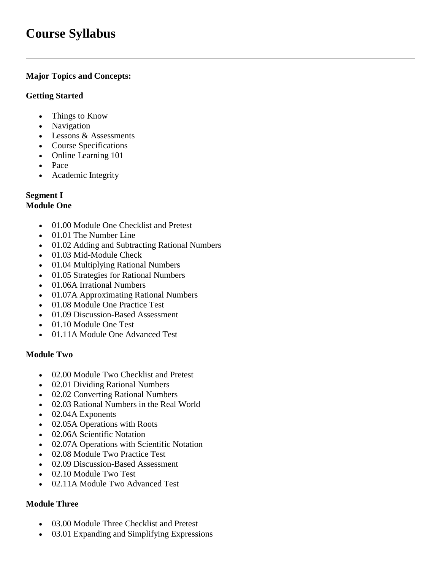# **Course Syllabus**

# **Major Topics and Concepts:**

#### **Getting Started**

- Things to Know
- Navigation
- Lessons & Assessments
- Course Specifications
- Online Learning 101
- Pace
- Academic Integrity

# **Segment I**

# **Module One**

- 01.00 Module One Checklist and Pretest
- 01.01 The Number Line
- 01.02 Adding and Subtracting Rational Numbers
- 01.03 Mid-Module Check
- 01.04 Multiplying Rational Numbers
- 01.05 Strategies for Rational Numbers
- 01.06A Irrational Numbers
- 01.07A Approximating Rational Numbers
- 01.08 Module One Practice Test
- 01.09 Discussion-Based Assessment
- 01.10 Module One Test
- 01.11A Module One Advanced Test

# **Module Two**

- 02.00 Module Two Checklist and Pretest
- 02.01 Dividing Rational Numbers
- 02.02 Converting Rational Numbers
- 02.03 Rational Numbers in the Real World
- 02.04A Exponents
- 02.05A Operations with Roots
- 02.06A Scientific Notation
- 02.07A Operations with Scientific Notation
- 02.08 Module Two Practice Test
- 02.09 Discussion-Based Assessment
- 02.10 Module Two Test
- 02.11A Module Two Advanced Test

#### **Module Three**

- 03.00 Module Three Checklist and Pretest
- 03.01 Expanding and Simplifying Expressions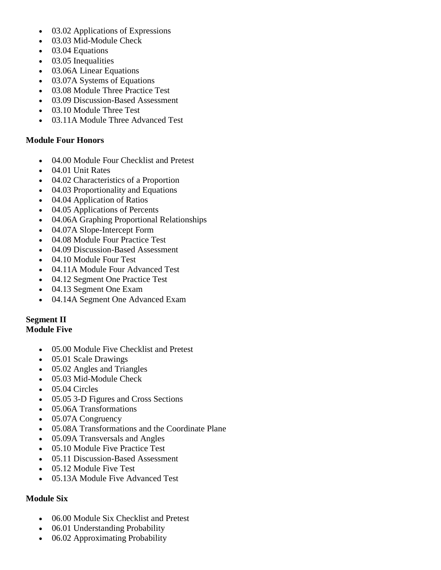- 03.02 Applications of Expressions
- 03.03 Mid-Module Check
- 03.04 Equations
- 03.05 Inequalities
- 03.06A Linear Equations
- 03.07A Systems of Equations
- 03.08 Module Three Practice Test
- 03.09 Discussion-Based Assessment
- 03.10 Module Three Test
- 03.11A Module Three Advanced Test

#### **Module Four Honors**

- 04.00 Module Four Checklist and Pretest
- 04.01 Unit Rates
- 04.02 Characteristics of a Proportion
- 04.03 Proportionality and Equations
- 04.04 Application of Ratios
- 04.05 Applications of Percents
- 04.06A Graphing Proportional Relationships
- 04.07A Slope-Intercept Form
- 04.08 Module Four Practice Test
- 04.09 Discussion-Based Assessment
- 04.10 Module Four Test
- 04.11A Module Four Advanced Test
- 04.12 Segment One Practice Test
- 04.13 Segment One Exam
- 04.14A Segment One Advanced Exam

#### **Segment II Module Five**

- 05.00 Module Five Checklist and Pretest
- 05.01 Scale Drawings
- 05.02 Angles and Triangles
- 05.03 Mid-Module Check
- 05.04 Circles
- 05.05 3-D Figures and Cross Sections
- 05.06A Transformations
- 05.07A Congruency
- 05.08A Transformations and the Coordinate Plane
- 05.09A Transversals and Angles
- 05.10 Module Five Practice Test
- 05.11 Discussion-Based Assessment
- 05.12 Module Five Test
- 05.13A Module Five Advanced Test

# **Module Six**

- 06.00 Module Six Checklist and Pretest
- 06.01 Understanding Probability
- 06.02 Approximating Probability